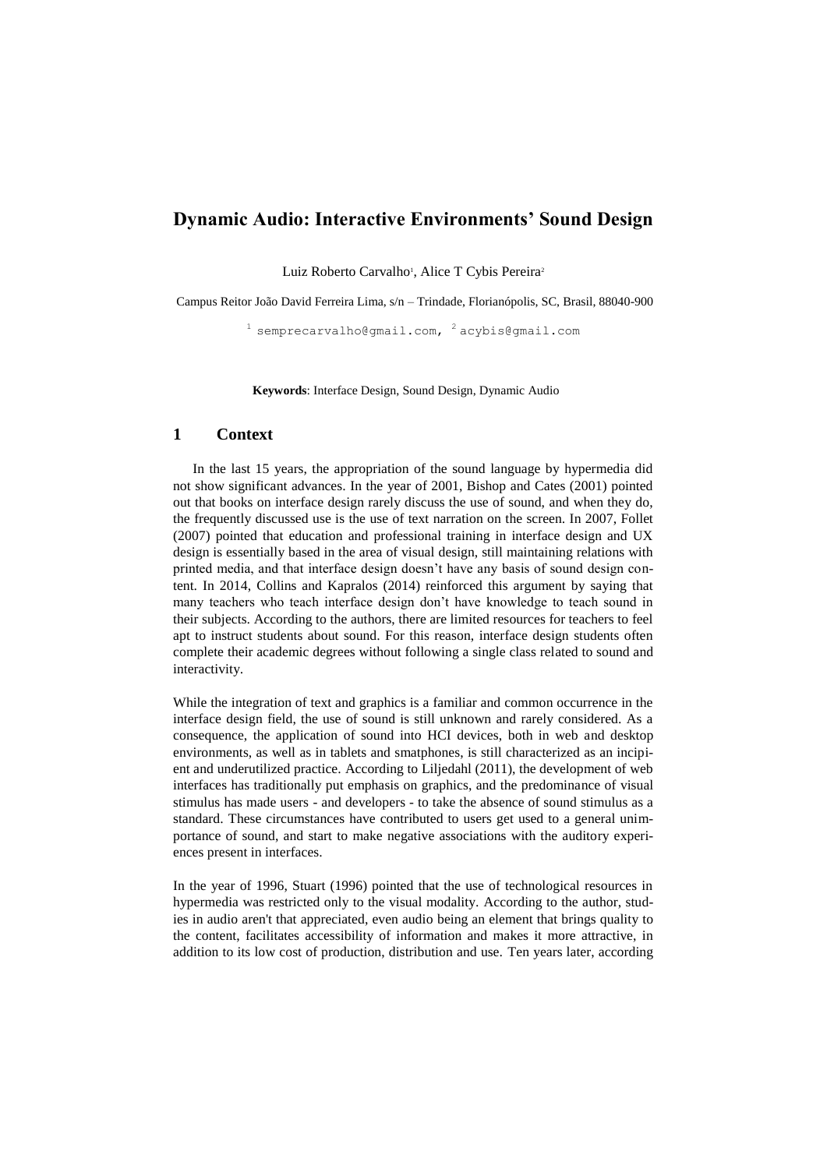# **Dynamic Audio: Interactive Environments' Sound Design**

Luiz Roberto Carvalho<sup>1</sup>, Alice T Cybis Pereira<sup>2</sup>

Campus Reitor João David Ferreira Lima, s/n – Trindade, Florianópolis, SC, Brasil, 88040-900

 $^{1}$  semprecarvalho@gmail.com,  $^{2}$  acybis@gmail.com

**Keywords**: Interface Design, Sound Design, Dynamic Audio

## **1 Context**

In the last 15 years, the appropriation of the sound language by hypermedia did not show significant advances. In the year of 2001, Bishop and Cates (2001) pointed out that books on interface design rarely discuss the use of sound, and when they do, the frequently discussed use is the use of text narration on the screen. In 2007, Follet (2007) pointed that education and professional training in interface design and UX design is essentially based in the area of visual design, still maintaining relations with printed media, and that interface design doesn't have any basis of sound design content. In 2014, Collins and Kapralos (2014) reinforced this argument by saying that many teachers who teach interface design don't have knowledge to teach sound in their subjects. According to the authors, there are limited resources for teachers to feel apt to instruct students about sound. For this reason, interface design students often complete their academic degrees without following a single class related to sound and interactivity.

While the integration of text and graphics is a familiar and common occurrence in the interface design field, the use of sound is still unknown and rarely considered. As a consequence, the application of sound into HCI devices, both in web and desktop environments, as well as in tablets and smatphones, is still characterized as an incipient and underutilized practice. According to Liljedahl (2011), the development of web interfaces has traditionally put emphasis on graphics, and the predominance of visual stimulus has made users - and developers - to take the absence of sound stimulus as a standard. These circumstances have contributed to users get used to a general unimportance of sound, and start to make negative associations with the auditory experiences present in interfaces.

In the year of 1996, Stuart (1996) pointed that the use of technological resources in hypermedia was restricted only to the visual modality. According to the author, studies in audio aren't that appreciated, even audio being an element that brings quality to the content, facilitates accessibility of information and makes it more attractive, in addition to its low cost of production, distribution and use. Ten years later, according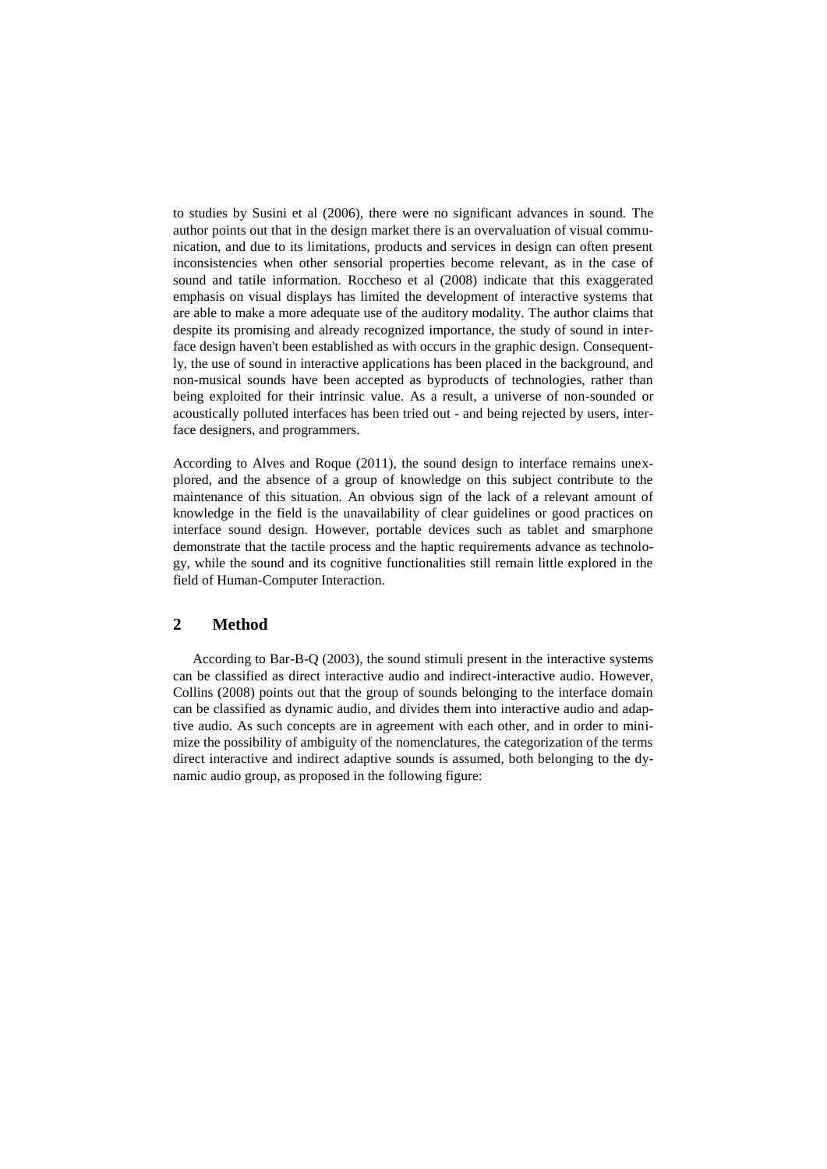to studies by Susini et al (2006), there were no significant advances in sound. The author points out that in the design market there is an overvaluation of visual communication, and due to its limitations, products and services in design can often present inconsistencies when other sensorial properties become relevant, as in the case of sound and tatile information. Roccheso et al (2008) indicate that this exaggerated emphasis on visual displays has limited the development of interactive systems that are able to make a more adequate use of the auditory modality. The author claims that despite its promising and already recognized importance, the study of sound in interface design haven't been established as with occurs in the graphic design. Consequently, the use of sound in interactive applications has been placed in the background, and non-musical sounds have been accepted as byproducts of technologies, rather than being exploited for their intrinsic value. As a result, a universe of non-sounded or acoustically polluted interfaces has been tried out - and being rejected by users, interface designers, and programmers.

According to Alves and Roque (2011), the sound design to interface remains unexplored, and the absence of a group of knowledge on this subject contribute to the maintenance of this situation. An obvious sign of the lack of a relevant amount of knowledge in the field is the unavailability of clear guidelines or good practices on interface sound design. However, portable devices such as tablet and smarphone demonstrate that the tactile process and the haptic requirements advance as technology, while the sound and its cognitive functionalities still remain little explored in the field of Human-Computer Interaction.

#### **2 Method**

According to Bar-B-Q (2003), the sound stimuli present in the interactive systems can be classified as direct interactive audio and indirect-interactive audio. However, Collins (2008) points out that the group of sounds belonging to the interface domain can be classified as dynamic audio, and divides them into interactive audio and adaptive audio. As such concepts are in agreement with each other, and in order to minimize the possibility of ambiguity of the nomenclatures, the categorization of the terms direct interactive and indirect adaptive sounds is assumed, both belonging to the dynamic audio group, as proposed in the following figure: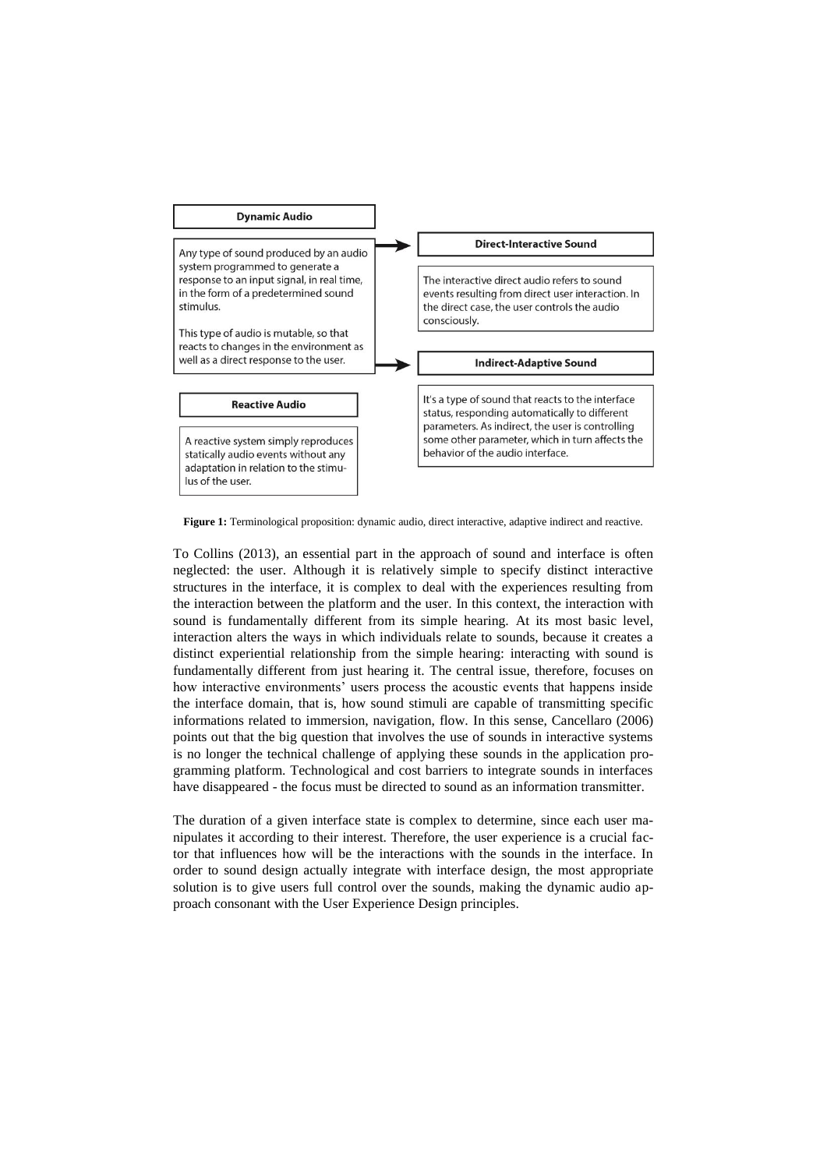

Figure 1: Terminological proposition: dynamic audio, direct interactive, adaptive indirect and reactive.

To Collins (2013), an essential part in the approach of sound and interface is often neglected: the user. Although it is relatively simple to specify distinct interactive structures in the interface, it is complex to deal with the experiences resulting from the interaction between the platform and the user. In this context, the interaction with sound is fundamentally different from its simple hearing. At its most basic level, interaction alters the ways in which individuals relate to sounds, because it creates a distinct experiential relationship from the simple hearing: interacting with sound is fundamentally different from just hearing it. The central issue, therefore, focuses on how interactive environments' users process the acoustic events that happens inside the interface domain, that is, how sound stimuli are capable of transmitting specific informations related to immersion, navigation, flow. In this sense, Cancellaro (2006) points out that the big question that involves the use of sounds in interactive systems is no longer the technical challenge of applying these sounds in the application programming platform. Technological and cost barriers to integrate sounds in interfaces have disappeared - the focus must be directed to sound as an information transmitter.

The duration of a given interface state is complex to determine, since each user manipulates it according to their interest. Therefore, the user experience is a crucial factor that influences how will be the interactions with the sounds in the interface. In order to sound design actually integrate with interface design, the most appropriate solution is to give users full control over the sounds, making the dynamic audio approach consonant with the User Experience Design principles.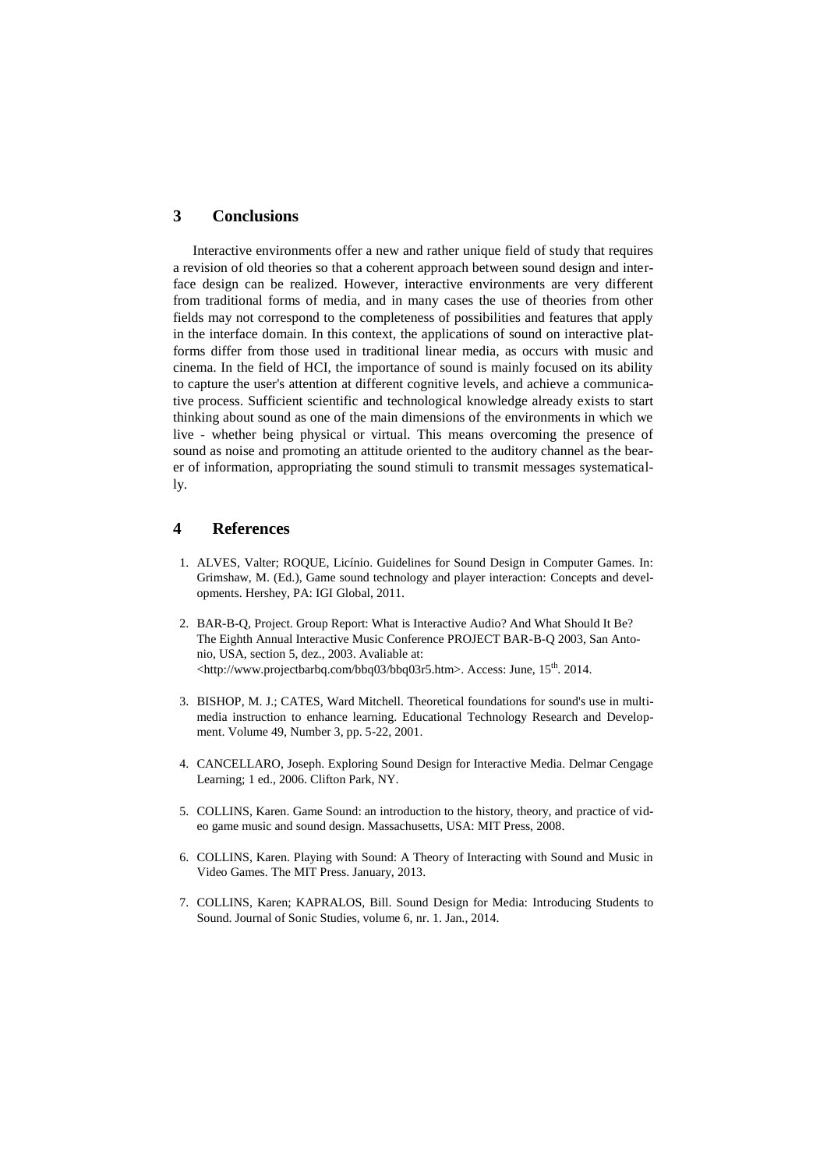## **3 Conclusions**

Interactive environments offer a new and rather unique field of study that requires a revision of old theories so that a coherent approach between sound design and interface design can be realized. However, interactive environments are very different from traditional forms of media, and in many cases the use of theories from other fields may not correspond to the completeness of possibilities and features that apply in the interface domain. In this context, the applications of sound on interactive platforms differ from those used in traditional linear media, as occurs with music and cinema. In the field of HCI, the importance of sound is mainly focused on its ability to capture the user's attention at different cognitive levels, and achieve a communicative process. Sufficient scientific and technological knowledge already exists to start thinking about sound as one of the main dimensions of the environments in which we live - whether being physical or virtual. This means overcoming the presence of sound as noise and promoting an attitude oriented to the auditory channel as the bearer of information, appropriating the sound stimuli to transmit messages systematically.

# **4 References**

- 1. ALVES, Valter; ROQUE, Licínio. Guidelines for Sound Design in Computer Games. In: Grimshaw, M. (Ed.), Game sound technology and player interaction: Concepts and developments. Hershey, PA: IGI Global, 2011.
- 2. BAR-B-Q, Project. Group Report: What is Interactive Audio? And What Should It Be? The Eighth Annual Interactive Music Conference PROJECT BAR-B-Q 2003, San Antonio, USA, section 5, dez., 2003. Avaliable at: <http://www.projectbarbq.com/bbq03/bbq03r5.htm>. Access: June, 15<sup>th</sup>. 2014.
- 3. BISHOP, M. J.; CATES, Ward Mitchell. Theoretical foundations for sound's use in multimedia instruction to enhance learning. Educational Technology Research and Development. Volume 49, Number 3, pp. 5-22, 2001.
- 4. CANCELLARO, Joseph. Exploring Sound Design for Interactive Media. Delmar Cengage Learning; 1 ed., 2006. Clifton Park, NY.
- 5. COLLINS, Karen. Game Sound: an introduction to the history, theory, and practice of video game music and sound design. Massachusetts, USA: MIT Press, 2008.
- 6. COLLINS, Karen. Playing with Sound: A Theory of Interacting with Sound and Music in Video Games. The MIT Press. January, 2013.
- 7. COLLINS, Karen; KAPRALOS, Bill. Sound Design for Media: Introducing Students to Sound. Journal of Sonic Studies, volume 6, nr. 1. Jan., 2014.